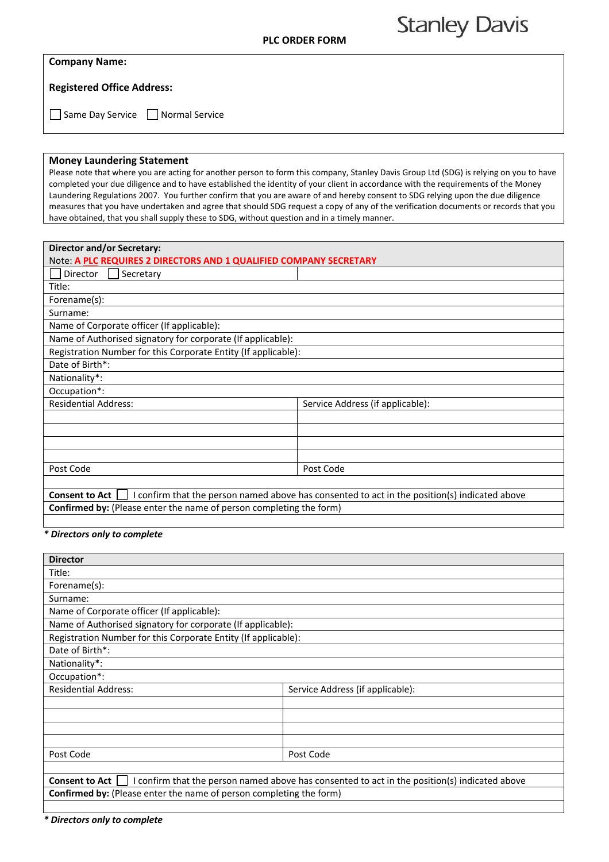## **Stanley Davis**

## **Company Name:**

**Registered Office Address:** 

Same Day Service **Normal Service** 

## **Money Laundering Statement**

Please note that where you are acting for another person to form this company, Stanley Davis Group Ltd (SDG) is relying on you to have completed your due diligence and to have established the identity of your client in accordance with the requirements of the Money Laundering Regulations 2007. You further confirm that you are aware of and hereby consent to SDG relying upon the due diligence measures that you have undertaken and agree that should SDG request a copy of any of the verification documents or records that you have obtained, that you shall supply these to SDG, without question and in a timely manner.

| <b>Director and/or Secretary:</b>                                                                                      |                                  |  |
|------------------------------------------------------------------------------------------------------------------------|----------------------------------|--|
| Note: A PLC REQUIRES 2 DIRECTORS AND 1 QUALIFIED COMPANY SECRETARY                                                     |                                  |  |
| Secretary<br>Director                                                                                                  |                                  |  |
| Title:                                                                                                                 |                                  |  |
| Forename(s):                                                                                                           |                                  |  |
| Surname:                                                                                                               |                                  |  |
| Name of Corporate officer (If applicable):                                                                             |                                  |  |
| Name of Authorised signatory for corporate (If applicable):                                                            |                                  |  |
| Registration Number for this Corporate Entity (If applicable):                                                         |                                  |  |
| Date of Birth*:                                                                                                        |                                  |  |
| Nationality*:                                                                                                          |                                  |  |
| Occupation*:                                                                                                           |                                  |  |
| <b>Residential Address:</b>                                                                                            | Service Address (if applicable): |  |
|                                                                                                                        |                                  |  |
|                                                                                                                        |                                  |  |
|                                                                                                                        |                                  |  |
|                                                                                                                        |                                  |  |
| Post Code                                                                                                              | Post Code                        |  |
|                                                                                                                        |                                  |  |
| I confirm that the person named above has consented to act in the position(s) indicated above<br><b>Consent to Act</b> |                                  |  |
| Confirmed by: (Please enter the name of person completing the form)                                                    |                                  |  |

## *\* Directors only to complete*

| <b>Director</b>                                                                                                        |                                  |  |
|------------------------------------------------------------------------------------------------------------------------|----------------------------------|--|
| Title:                                                                                                                 |                                  |  |
| Forename(s):                                                                                                           |                                  |  |
| Surname:                                                                                                               |                                  |  |
| Name of Corporate officer (If applicable):                                                                             |                                  |  |
| Name of Authorised signatory for corporate (If applicable):                                                            |                                  |  |
| Registration Number for this Corporate Entity (If applicable):                                                         |                                  |  |
| Date of Birth*:                                                                                                        |                                  |  |
| Nationality*:                                                                                                          |                                  |  |
| Occupation*:                                                                                                           |                                  |  |
| <b>Residential Address:</b>                                                                                            | Service Address (if applicable): |  |
|                                                                                                                        |                                  |  |
|                                                                                                                        |                                  |  |
|                                                                                                                        |                                  |  |
|                                                                                                                        |                                  |  |
| Post Code                                                                                                              | Post Code                        |  |
|                                                                                                                        |                                  |  |
| I confirm that the person named above has consented to act in the position(s) indicated above<br><b>Consent to Act</b> |                                  |  |
| <b>Confirmed by:</b> (Please enter the name of person completing the form)                                             |                                  |  |

*\* Directors only to complete*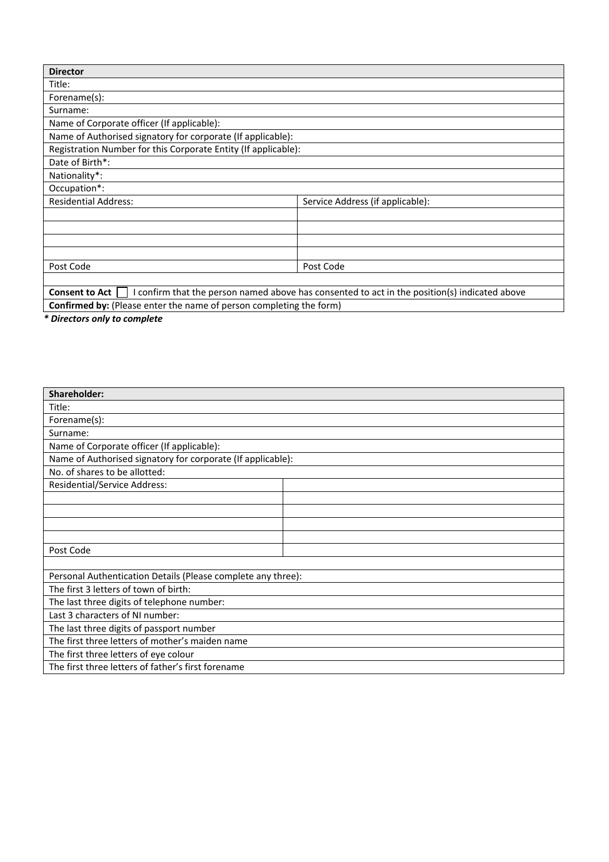| <b>Director</b>                                                |                                                                                             |
|----------------------------------------------------------------|---------------------------------------------------------------------------------------------|
| Title:                                                         |                                                                                             |
| Forename(s):                                                   |                                                                                             |
| Surname:                                                       |                                                                                             |
| Name of Corporate officer (If applicable):                     |                                                                                             |
| Name of Authorised signatory for corporate (If applicable):    |                                                                                             |
| Registration Number for this Corporate Entity (If applicable): |                                                                                             |
| Date of Birth*:                                                |                                                                                             |
| Nationality*:                                                  |                                                                                             |
| Occupation*:                                                   |                                                                                             |
| <b>Residential Address:</b>                                    | Service Address (if applicable):                                                            |
|                                                                |                                                                                             |
|                                                                |                                                                                             |
|                                                                |                                                                                             |
|                                                                |                                                                                             |
| Post Code                                                      | Post Code                                                                                   |
|                                                                |                                                                                             |
| <b>Consent to Act</b>                                          | confirm that the person named above has consented to act in the position(s) indicated above |

**Confirmed by:** (Please enter the name of person completing the form)

*\* Directors only to complete* 

| Shareholder:                                                 |  |  |
|--------------------------------------------------------------|--|--|
| Title:                                                       |  |  |
| Forename(s):                                                 |  |  |
| Surname:                                                     |  |  |
| Name of Corporate officer (If applicable):                   |  |  |
| Name of Authorised signatory for corporate (If applicable):  |  |  |
| No. of shares to be allotted:                                |  |  |
| Residential/Service Address:                                 |  |  |
|                                                              |  |  |
|                                                              |  |  |
|                                                              |  |  |
|                                                              |  |  |
| Post Code                                                    |  |  |
|                                                              |  |  |
| Personal Authentication Details (Please complete any three): |  |  |
| The first 3 letters of town of birth:                        |  |  |
| The last three digits of telephone number:                   |  |  |
| Last 3 characters of NI number:                              |  |  |
| The last three digits of passport number                     |  |  |
| The first three letters of mother's maiden name              |  |  |
| The first three letters of eye colour                        |  |  |
| The first three letters of father's first forename           |  |  |